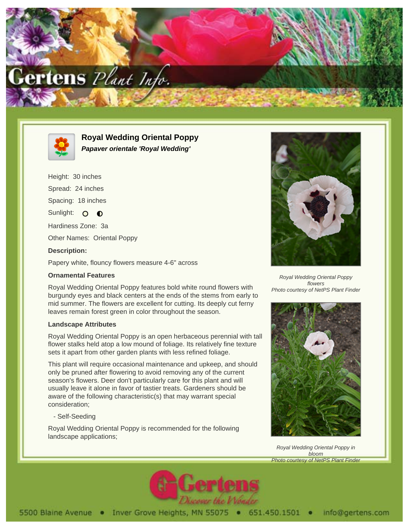



**Royal Wedding Oriental Poppy Papaver orientale 'Royal Wedding'**

Height: 30 inches Spread: 24 inches Spacing: 18 inches Sunlight: O **O** Hardiness Zone: 3a

Other Names: Oriental Poppy

# **Description:**

Papery white, flouncy flowers measure 4-6" across

### **Ornamental Features**

Royal Wedding Oriental Poppy features bold white round flowers with burgundy eyes and black centers at the ends of the stems from early to mid summer. The flowers are excellent for cutting. Its deeply cut ferny leaves remain forest green in color throughout the season.

#### **Landscape Attributes**

Royal Wedding Oriental Poppy is an open herbaceous perennial with tall flower stalks held atop a low mound of foliage. Its relatively fine texture sets it apart from other garden plants with less refined foliage.

This plant will require occasional maintenance and upkeep, and should only be pruned after flowering to avoid removing any of the current season's flowers. Deer don't particularly care for this plant and will usually leave it alone in favor of tastier treats. Gardeners should be aware of the following characteristic(s) that may warrant special consideration;

# - Self-Seeding

Royal Wedding Oriental Poppy is recommended for the following landscape applications;



Royal Wedding Oriental Poppy flowers Photo courtesy of NetPS Plant Finder



Royal Wedding Oriental Poppy in bloom Photo courtesy of NetPS Plant Finder